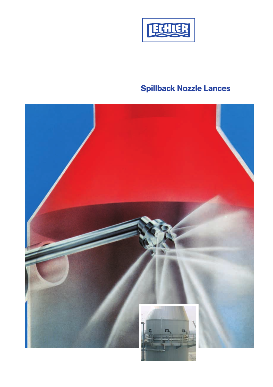

# Spillback Nozzle Lances

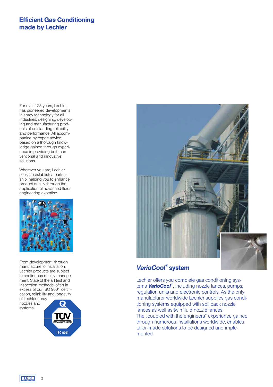## Efficient Gas Conditioning made by Lechler

For over 125 years, Lechler has pioneered developments in spray technology for all industries, designing, developing and manufacturing products of outstanding reliability and performance. All accompanied by expert advice based on a thorough knowledge gained through experience in providing both conventional and innovative solutions.

Wherever you are, Lechler seeks to establish a partnership, helping you to enhance product quality through the application of advanced fluids engineering expertise.



From development, through manufacture to installation, Lechler products are subject to continuous quality management. State of the art test and inspection methods, often in excess of our ISO 9001 certification, reliability and longevity of Lechler spray

nozzles and systems.





## *VarioCool*® system

Lechler offers you complete gas conditioning systems *VarioCool*® , including nozzle lances, pumps, regulation units and electronic controls. As the only manufacturer worldwide Lechler supplies gas conditioning systems equipped with spillback nozzle lances as well as twin fluid nozzle lances. The "coupled with the engineers" experience gained through numerous installations worldwide, enables tailor-made solutions to be designed and implemented.

**TECHLER** 

 $\overline{2}$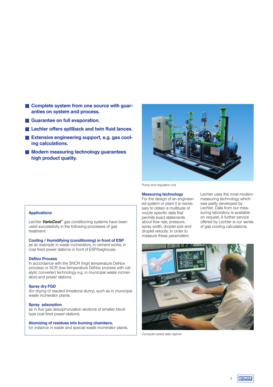- Complete system from one source with guaranties on system and process.
- Guarantee on full evaporation.
- Lechler offers spillback and twin fluid lances.
- Extensive engineering support, e.g. gas cooling calculations.
- Modern measuring technology guarantees high product quality.



Pump and regulation unit

#### Measuring technology

For the design of an engineered system or plant it is necessary to obtain a multitude of nozzle specific data that permits exact statements about flow rate, pressure, spray width, droplet size and droplet velocity. In order to measure these parameters

Lechler uses the most modern measuring technology which was partly developed by Lechler. Data from our measuring laboratory is available on request. A further service offered by Lechler is our series of gas cooling calculations.



Computer aided data capture

#### Applications

Lechler *VarioCool*® gas conditioning systems have been used successfully in the following processes of gas treatment:

#### Cooling / Humidifying (conditioning) in front of ESP

as an example in waste incinerators, in cement works, in coal fired power stations in front of ESP/baghouse.

#### DeNox Process

In accordance with the SNCR (high temperature DeNox process) or SCR (low temperature DeNox process with catalytic converter) technology e.g. in municipal waste incinerators and power stations.

#### Spray dry FGD

(for drying of reacted limestone slurry), such as in municipal waste incinerator plants.

#### Spray adsorption

as in flue gas desulphurization sections of smaller block type coal fired power stations.

#### Atomizing of residues into burning chambers,

for instance in waste and special waste incinerator plants.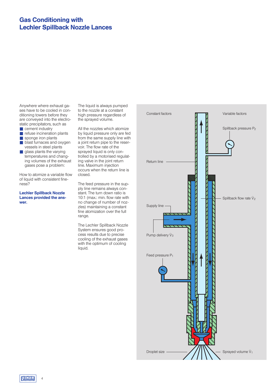## Gas Conditioning with Lechler Spillback Nozzle Lances

Anywhere where exhaust gases have to be cooled in conditioning towers before they are conveyed into the electrostatic precipitators, such as

- cement industry
- refuse incineration plants
- sponge iron plants
- blast furnaces and oxygen vessels in steel plants
- $\blacksquare$  glass plants the varying temperatures and changing volumes of the exhaust gases pose a problem:

How to atomize a variable flow of liquid with consistent fineness?

Lechler Spillback Nozzle Lances provided the answer.

The liquid is always pumped to the nozzle at a constant high pressure regardless of the sprayed volume.

All the nozzles which atomize by liquid pressure only are fed from the same supply line with a joint return pipe to the reservoir. The flow rate of the sprayed liquid is only controlled by a motorised regulating valve in the joint return line. Maximum injection occurs when the return line is closed.

The feed pressure in the supply line remains always constant. The turn down ratio is 10:1 (max.: min. flow rate with no change of number of nozzles) maintaining a constant fine atomization over the full range.

The Lechler Spillback Nozzle System ensures good process results due to precise cooling of the exhaust gases with the optimum of cooling liquid.



**TECHLER** 4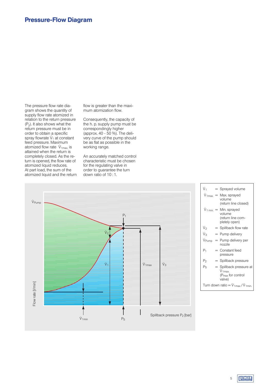The pressure flow rate diagram shows the quantity of supply flow rate atomized in relation to the return pressure  $(P_2)$ . It also shows what the return pressure must be in order to obtain a specific order to obtain a specilic<br>spray flowrate V<sub>1</sub> at constant feed pressure. Maximum reed pressure, maximum<br>atomized flow rate  $\dot{\mathsf{V}}_{1\mathsf{max}}$  is attained when the return is completely closed. As the return is opened, the flow rate of atomized liquid reduces. At part load, the sum of the atomized liquid and the return flow is greater than the maximum atomization flow.

Consequently, the capacity of the h. p. supply pump must be correspondingly higher (approx. 40 - 50 %). The delivery curve of the pump should be as flat as possible in the working range.

An accurately matched control characteristic must be chosen for the regulating valve in order to guarantee the turn down ratio of 10 : 1.



| ν,                                    |  | $=$ Sprayed volume                                                               |  |  |  |
|---------------------------------------|--|----------------------------------------------------------------------------------|--|--|--|
|                                       |  | $\dot{V}_{1\text{max.}} = \text{Max.}$ sprayed<br>volume<br>(return line closed) |  |  |  |
|                                       |  | $V_{1\min}$ = Min. sprayed<br>volume<br>(return line com-<br>pletely open)       |  |  |  |
| ν,                                    |  | = Spillback flow rate                                                            |  |  |  |
| ٧з                                    |  | = Pump delivery                                                                  |  |  |  |
| V <sub>Pump</sub>                     |  | $=$ Pump delivery per<br>nozzle                                                  |  |  |  |
| P1                                    |  | $=$ Constant feed<br>pressure                                                    |  |  |  |
| P2                                    |  | = Spillback pressure                                                             |  |  |  |
| Ps                                    |  | = Spillback pressure at<br>$V_{1max}$<br>$(Pmax$ for control<br>valve)           |  |  |  |
| Turn down ratio = $V_{1max}/V_{1min}$ |  |                                                                                  |  |  |  |

٦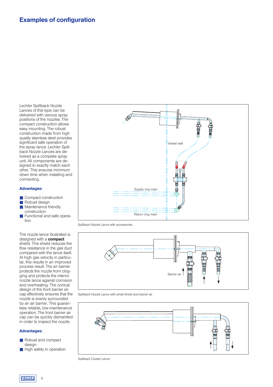Lechler Spillback Nozzle Lances of this type can be delivered with various spray positions of the nozzles. The compact construction allows easy mounting. The robust construction made from high quality stainless steel provides significant safe operation of the spray lance. Lechler Spillback Nozzle Lances are delivered as a complete spray unit. All components are designed to exactly match each other. This ensures minimum down time when installing and connecting.

#### Advantages:

- Compact construction
- Robust design<br>■ Maintenance fr
- Maintenance friendly construction
- Functional and safe operation

The nozzle lance illustrated is designed with a **compact** shield. This shield reduces the flow resistance in the gas duct compared with the lance itself. At high gas velocity in particular, this results in an improved process result. The air barrier protects the nozzle from clogging and protects the interior nozzle lance against corrosion and overheating. The conical design of the front barrier air cap effectively ensures that the nozzle is evenly surrounded by an air barrier. This guarantees reliable, low-maintenance operation. The front barrier air cap can be quickly dismantled in order to inspect the nozzle.

#### Advantages:

- Robust and compact design
- High safety in operation

6



Spillback Nozzle Lance with accessories



Spillback Nozzle Lance with small shield and barrier air



Spillback Cluster Lance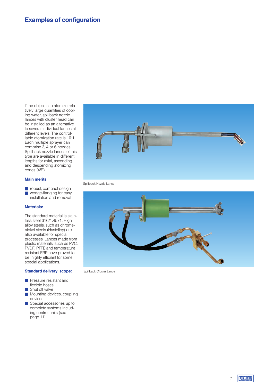If the object is to atomize relatively large quantities of cooling water, spillback nozzle lances with cluster head can be installed as an alternative to several individual lances at different levels. The controllable atomization rate is 10:1. Each multiple sprayer can comprise 3, 4 or 6 nozzles. Spillback nozzle lances of this type are available in different lengths for axial, ascending and descending atomizing cones (45°).

#### Main merits

■ robust, compact design ■ wedge-flanging for easy installation and removal

#### Materials:

The standard material is stainless steel 316/1.4571. High alloy steels, such as chromenickel steels (Hastelloy) are also available for special processes. Lances made from plastic materials, such as PVC, PVDF, PTFE and temperature resistant FRP have proved to be highly efficiant for some special applications.

#### Standard delivery scope:

- **B** Pressure resistant and flexible hoses
- Shut off valve
- Mounting devices, coupling devices
- Special accessories up to complete systems including control units (see page 11).



Spillback Nozzle Lance



Spillback Cluster Lance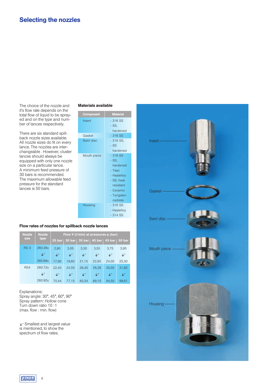The choice of the nozzle and it's flow rate depends on the total flow of liquid to be sprayed and on the type and number of lances respectively.

There are six standard spillback nozzle sizes available. All nozzle sizes do fit on every lance. The nozzles are interchangeable . However, cluster lances should always be equipped with only one nozzle size on a particular lance. A minimum feed pressure of 30 bars is recommended. The maximum allowable feed pressure for the standard lances is 50 bars.

#### Materials available

| <b>Component</b> | <b>Material</b>                                                                                                          |
|------------------|--------------------------------------------------------------------------------------------------------------------------|
| Insert           | $-316$ SS<br>- SS.                                                                                                       |
|                  | hardened                                                                                                                 |
| Gasket           | $-316$ SS                                                                                                                |
| Swirl disc       | $-316$ SS,<br>$-$ SS<br>hardened                                                                                         |
| Mouth piece      | $-316SS$<br>- SS,<br>hardened<br>- Titan<br>- Hastelloy<br>- SS, heat<br>resistant<br>- Ceramic<br>- Tungsten<br>carbide |
| Housing          | $-316SS$<br>- Hastelloy<br>$-314$ SS                                                                                     |

#### Flow rates of nozzles for spillback nozzle lances

| <b>Nozzle</b>   | <b>Nozzle</b>  | Flow V (I/min) at pressures p (bar) |                |                                   |                |                 |                |  |  |
|-----------------|----------------|-------------------------------------|----------------|-----------------------------------|----------------|-----------------|----------------|--|--|
| size            | type           |                                     |                | 25 bar   30 bar   35 bar   40 bar |                | 45 bar   50 bar |                |  |  |
| RS <sub>3</sub> | 260.38x        | 2,80                                | 3,05           | 3,30                              | 3.55           | 3,75            | 3,95           |  |  |
|                 | $\downarrow^*$ | $\downarrow^*$                      | $\downarrow^*$ | $\downarrow^*$                    | $\downarrow^*$ | $\downarrow^*$  | $\downarrow^*$ |  |  |
|                 | 260.68x        | 17,90                               | 19,60          | 21,15                             | 22,65          | 24,00           | 25,30          |  |  |
| RS4             | 260.72x        | 22.40                               | 24,50          | 26.45                             | 28,28          | 30.00           | 31,62          |  |  |
|                 | $\downarrow^*$ | $\downarrow^*$                      | $\downarrow^*$ | $\downarrow^*$                    | $\downarrow^*$ | $\downarrow^*$  | $\downarrow^*$ |  |  |
|                 | 260.92x        | 70.44                               | 77,15          | 83.34                             | 89.10          | 94.50           | 99.61          |  |  |

Explanations: Spray angle: 30°, 45°, 60°, 90° Spray pattern: Hollow cone Turn down ratio 10 : 1 (max. flow : min. flow)

7\* Smallest and largest value is mentioned, to show the spectrum of flow rates.

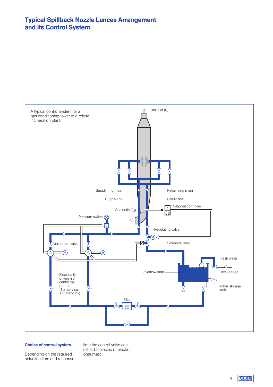## Typical Spillback Nozzle Lances Arrangement and its Control System



#### Choice of control system

Depending on the required actuating time and response time the control valve can either be electric or electropneumatic.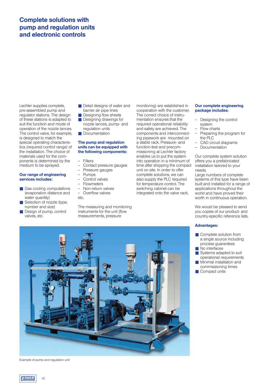## Complete solutions with pump and regulation units and electronic controls

Lechler supplies complete, pre-assembled pump and regulator stations. The design of these stations is adapted to suit the function and mode of operation of the nozzle lances. The control valve, for example, is designed to match the special operating characteristics (required control range) of the installation. The choice of materials used for the components is determined by the medium to be sprayed.

#### Our range of engineering services includes:

- Gas cooling computations (evaporation distance and water quantity)
- Selection of nozzle (type, number and size)
- Design of pump, control valves, etc.
- Detail designs of water and barrier air pipe lines
- Designing flow sheets ■ Designing drawings for nozzle lances, pump- and
- regulation units ■ Documentation

#### The pump and regulation units can be equipped with the following components:

#### — Filters

- Contact pressure gauges<br>- Pressure gauges
- Pressure gauges
- Pumps
- Control valves
- Flowmeters
- Non-return valves Overflow valves
- etc.

The measuring and monitoring instruments for the unit (flow measurements, pressure

monitoring) are established in cooperation with the customer. The correct choice of instrumentation ensures that the required operational reliability and safety are achieved. The components and interconnecting pipework are mounted on a stable rack. Pressure- and function-test and precommissioning at Lechler factory enables us to put the system into operation in a minimum of time after shipping the compact unit on site. In order to offer complete solutions, we can also supply the PLC required for temperature control. The switching cabinet can be integrated onto the valve rack.

#### Our complete engineering package includes:

- Designing the control system
- Flow charts
	- Preparing the program for the PLC
- CAD circuit diagrams
- Documentation

Our complete system solution offers you a prefabricated installation tailored to your needs.

Large numbers of complete systems of this type have been built and installed for a range of applications throughout the world and have proved their worth in continuous operation.

We would be pleased to send you copies of our product- and country-specific reference lists.

#### Advantages:

- Complete solution from a single source including process guarantees
- No interfaces
- Systems adapted to suit operational requirements
- Minimal installation and commissioning times
- Compact units



Example of pump and regulation unit

10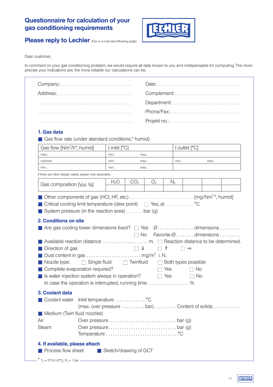## Questionnaire for calculation of your gas conditioning requirements



Please reply to Lechler (Fax or e-mail see following page)

Dear customer,

to comment on your gas conditioning problem, we would require all data known to you and indispensable for computing. The more precise your indications are, the more reliable our calculations can be.

|                                                                                                                                                                                                                                                                                                                                               |                                             |                            |                                                   |                          |                |                                                                               |  | 1. Gas data                                |  |  |  |  |  |
|-----------------------------------------------------------------------------------------------------------------------------------------------------------------------------------------------------------------------------------------------------------------------------------------------------------------------------------------------|---------------------------------------------|----------------------------|---------------------------------------------------|--------------------------|----------------|-------------------------------------------------------------------------------|--|--------------------------------------------|--|--|--|--|--|
|                                                                                                                                                                                                                                                                                                                                               |                                             |                            | Gas flow rate (under standard conditions,* humid) |                          |                |                                                                               |  |                                            |  |  |  |  |  |
| Gas flow [Nm <sup>3</sup> /h <sup>*</sup> , humid]                                                                                                                                                                                                                                                                                            |                                             | t inlet [°C]               |                                                   |                          |                | t outlet [°C]                                                                 |  |                                            |  |  |  |  |  |
| max.:                                                                                                                                                                                                                                                                                                                                         | min.:                                       | max.:                      |                                                   |                          |                |                                                                               |  |                                            |  |  |  |  |  |
| nominal:                                                                                                                                                                                                                                                                                                                                      | min.:                                       | max.:                      |                                                   |                          | min.:<br>max.: |                                                                               |  |                                            |  |  |  |  |  |
| min.:                                                                                                                                                                                                                                                                                                                                         | min.:                                       |                            | max.:                                             |                          |                |                                                                               |  |                                            |  |  |  |  |  |
| If there are other design cases, please note separately                                                                                                                                                                                                                                                                                       |                                             |                            |                                                   |                          |                |                                                                               |  |                                            |  |  |  |  |  |
| Gas composition [Vol. %]                                                                                                                                                                                                                                                                                                                      | H <sub>2</sub> O                            | CO <sub>2</sub>            | O <sub>2</sub>                                    |                          | N <sub>2</sub> |                                                                               |  |                                            |  |  |  |  |  |
|                                                                                                                                                                                                                                                                                                                                               |                                             |                            |                                                   |                          |                |                                                                               |  |                                            |  |  |  |  |  |
| Are gas cooling tower dimensions fixed? $\square$ Yes $\emptyset$ dimensions                                                                                                                                                                                                                                                                  |                                             |                            |                                                   |                          |                |                                                                               |  |                                            |  |  |  |  |  |
| Available reaction distance $\dots\dots\dots\dots\dots\dots$ m. $\Box$ Reaction distance to be determined.<br>Direction of gas<br>Nozzle type:<br>$\Box$ Single fluid<br>Complete evaporation required?<br>Is water injection system always in operation?<br>In case the operation is interrupted, running time $\ldots \ldots \ldots \ldots$ |                                             | $\Box$<br>$\Box$ Twinfluid | $\Box$ $\Upsilon$                                 | $\Box$ Yes<br>$\Box$ Yes |                | $\square \Rightarrow$<br>$\Box$ Both types possible<br>$\Box$ No<br>$\Box$ No |  |                                            |  |  |  |  |  |
|                                                                                                                                                                                                                                                                                                                                               |                                             |                            |                                                   |                          |                |                                                                               |  |                                            |  |  |  |  |  |
| Coolant water                                                                                                                                                                                                                                                                                                                                 | Inlet temperature °C                        |                            |                                                   |                          |                |                                                                               |  |                                            |  |  |  |  |  |
|                                                                                                                                                                                                                                                                                                                                               | (max. over pressure  bar) Content of solids |                            |                                                   |                          |                |                                                                               |  |                                            |  |  |  |  |  |
| Medium (Twin fluid nozzles)                                                                                                                                                                                                                                                                                                                   |                                             |                            |                                                   |                          |                |                                                                               |  |                                            |  |  |  |  |  |
| 3. Coolant data<br>Air                                                                                                                                                                                                                                                                                                                        |                                             |                            |                                                   |                          |                |                                                                               |  |                                            |  |  |  |  |  |
| Steam                                                                                                                                                                                                                                                                                                                                         |                                             |                            |                                                   |                          |                |                                                                               |  |                                            |  |  |  |  |  |
|                                                                                                                                                                                                                                                                                                                                               |                                             |                            |                                                   |                          |                |                                                                               |  | $\Box$ No Favorite- $\emptyset$ dimensions |  |  |  |  |  |
|                                                                                                                                                                                                                                                                                                                                               |                                             |                            |                                                   |                          |                |                                                                               |  |                                            |  |  |  |  |  |
| 4. If available, please attach<br>Process flow sheet                                                                                                                                                                                                                                                                                          | ■ Sketch/drawing of GCT                     |                            |                                                   |                          |                |                                                                               |  |                                            |  |  |  |  |  |